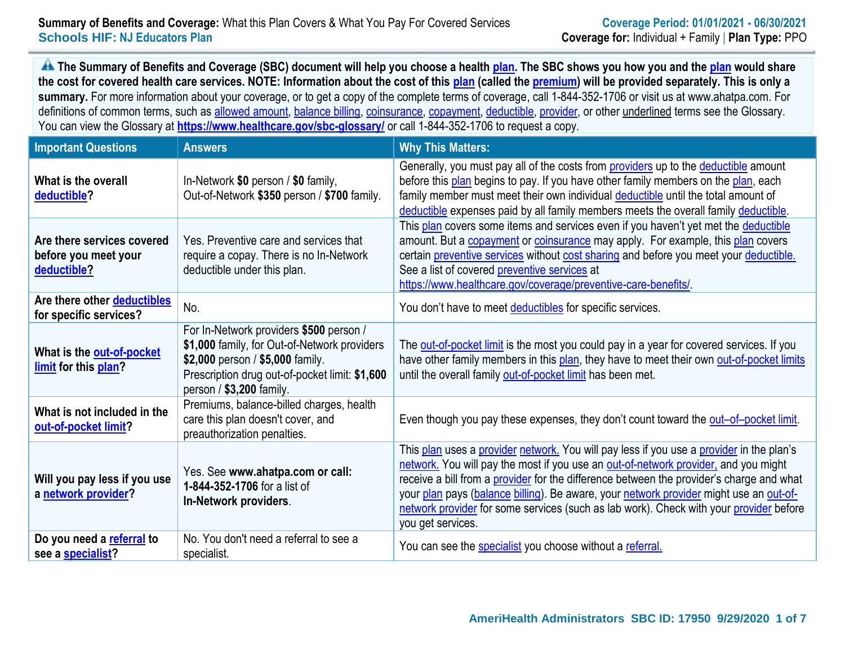### **Summary of Benefits and Coverage:** What this Plan Covers & What You Pay For Covered Services **Coverage Period: 01/01/2021 - 06/30/2021 Schools HIF: NJ Educators Plan Coverage for:** Individual + Family | **Plan Type:** PPO

**A** The Summary of Benefits and Coverage (SBC) document will help you choose a health plan. The SBC shows you how you and the plan would share **the cost for covered health care services. NOTE: Information about the cost of this plan (called the premium) will be provided separately. This is only a summary.** For more information about your coverage, or to get a copy of the complete terms of coverage, call 1-844-352-1706 or visit us at www.ahatpa.com. For definitions of common terms, such as allowed amount, balance billing, coinsurance, copayment, deductible, provider, or other underlined terms see the Glossary. You can view the Glossary at **https://www.healthcare.gov/sbc-glossary/** or call 1-844-352-1706 to request a copy.

| <b>Important Questions</b>                                        | <b>Answers</b>                                                                                                                                                                                            | <b>Why This Matters:</b>                                                                                                                                                                                                                                                                                                                                                                                                                                                             |
|-------------------------------------------------------------------|-----------------------------------------------------------------------------------------------------------------------------------------------------------------------------------------------------------|--------------------------------------------------------------------------------------------------------------------------------------------------------------------------------------------------------------------------------------------------------------------------------------------------------------------------------------------------------------------------------------------------------------------------------------------------------------------------------------|
| What is the overall<br>deductible?                                | In-Network \$0 person / \$0 family,<br>Out-of-Network \$350 person / \$700 family.                                                                                                                        | Generally, you must pay all of the costs from providers up to the deductible amount<br>before this plan begins to pay. If you have other family members on the plan, each<br>family member must meet their own individual deductible until the total amount of<br>deductible expenses paid by all family members meets the overall family deductible.                                                                                                                                |
| Are there services covered<br>before you meet your<br>deductible? | Yes. Preventive care and services that<br>require a copay. There is no In-Network<br>deductible under this plan.                                                                                          | This plan covers some items and services even if you haven't yet met the deductible<br>amount. But a <b>copayment</b> or <b>coinsurance</b> may apply. For example, this plan covers<br>certain preventive services without cost sharing and before you meet your deductible.<br>See a list of covered preventive services at<br>https://www.healthcare.gov/coverage/preventive-care-benefits/                                                                                       |
| Are there other deductibles<br>for specific services?             | No.                                                                                                                                                                                                       | You don't have to meet deductibles for specific services.                                                                                                                                                                                                                                                                                                                                                                                                                            |
| What is the out-of-pocket<br>limit for this plan?                 | For In-Network providers \$500 person /<br>\$1,000 family, for Out-of-Network providers<br>\$2,000 person / \$5,000 family.<br>Prescription drug out-of-pocket limit: \$1,600<br>person / \$3,200 family. | The out-of-pocket limit is the most you could pay in a year for covered services. If you<br>have other family members in this plan, they have to meet their own out-of-pocket limits<br>until the overall family out-of-pocket limit has been met.                                                                                                                                                                                                                                   |
| What is not included in the<br>out-of-pocket limit?               | Premiums, balance-billed charges, health<br>care this plan doesn't cover, and<br>preauthorization penalties.                                                                                              | Even though you pay these expenses, they don't count toward the out-of-pocket limit.                                                                                                                                                                                                                                                                                                                                                                                                 |
| Will you pay less if you use<br>a network provider?               | Yes. See www.ahatpa.com or call:<br>1-844-352-1706 for a list of<br>In-Network providers.                                                                                                                 | This plan uses a provider network. You will pay less if you use a provider in the plan's<br>network. You will pay the most if you use an out-of-network provider, and you might<br>receive a bill from a provider for the difference between the provider's charge and what<br>your plan pays (balance billing). Be aware, your network provider might use an out-of-<br>network provider for some services (such as lab work). Check with your provider before<br>you get services. |
| Do you need a referral to<br>see a specialist?                    | No. You don't need a referral to see a<br>specialist.                                                                                                                                                     | You can see the specialist you choose without a referral.                                                                                                                                                                                                                                                                                                                                                                                                                            |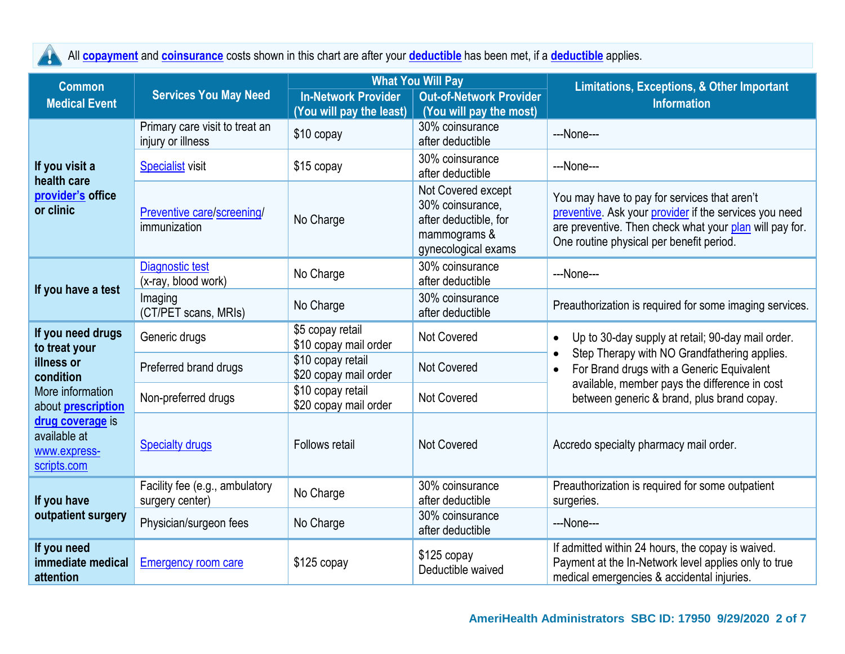All **copayment** and **coinsurance** costs shown in this chart are after your **deductible** has been met, if a **deductible** applies.  $\blacktriangle$ 

| <b>Common</b>                                                   | <b>Services You May Need</b>                        |                                            | <b>What You Will Pay</b>                                                                               | <b>Limitations, Exceptions, &amp; Other Important</b>                                                                                                                                                         |  |  |
|-----------------------------------------------------------------|-----------------------------------------------------|--------------------------------------------|--------------------------------------------------------------------------------------------------------|---------------------------------------------------------------------------------------------------------------------------------------------------------------------------------------------------------------|--|--|
| <b>Medical Event</b>                                            |                                                     | <b>In-Network Provider</b>                 | <b>Out-of-Network Provider</b>                                                                         | <b>Information</b>                                                                                                                                                                                            |  |  |
|                                                                 |                                                     | (You will pay the least)                   | (You will pay the most)                                                                                |                                                                                                                                                                                                               |  |  |
|                                                                 | Primary care visit to treat an<br>injury or illness | \$10 copay                                 | 30% coinsurance<br>after deductible                                                                    | ---None---                                                                                                                                                                                                    |  |  |
| If you visit a<br>health care                                   | <b>Specialist</b> visit                             | \$15 copay                                 | 30% coinsurance<br>after deductible                                                                    | ---None---                                                                                                                                                                                                    |  |  |
| provider's office<br>or clinic                                  | Preventive care/screening/<br>immunization          | No Charge                                  | Not Covered except<br>30% coinsurance,<br>after deductible, for<br>mammograms &<br>gynecological exams | You may have to pay for services that aren't<br>preventive. Ask your provider if the services you need<br>are preventive. Then check what your plan will pay for.<br>One routine physical per benefit period. |  |  |
|                                                                 | <b>Diagnostic test</b><br>(x-ray, blood work)       | No Charge                                  | 30% coinsurance<br>after deductible                                                                    | ---None---                                                                                                                                                                                                    |  |  |
| If you have a test                                              | Imaging<br>(CT/PET scans, MRIs)                     | No Charge                                  | 30% coinsurance<br>after deductible                                                                    | Preauthorization is required for some imaging services.                                                                                                                                                       |  |  |
| If you need drugs<br>to treat your                              | Generic drugs                                       | \$5 copay retail<br>\$10 copay mail order  | <b>Not Covered</b>                                                                                     | Up to 30-day supply at retail; 90-day mail order.                                                                                                                                                             |  |  |
| illness or<br>condition                                         | Preferred brand drugs                               | \$10 copay retail<br>\$20 copay mail order | <b>Not Covered</b>                                                                                     | Step Therapy with NO Grandfathering applies.<br>For Brand drugs with a Generic Equivalent                                                                                                                     |  |  |
| More information<br>about <b>prescription</b>                   | Non-preferred drugs                                 | \$10 copay retail<br>\$20 copay mail order | <b>Not Covered</b>                                                                                     | available, member pays the difference in cost<br>between generic & brand, plus brand copay.                                                                                                                   |  |  |
| drug coverage is<br>available at<br>www.express-<br>scripts.com | <b>Specialty drugs</b>                              | Follows retail                             | <b>Not Covered</b>                                                                                     | Accredo specialty pharmacy mail order.                                                                                                                                                                        |  |  |
| If you have                                                     | Facility fee (e.g., ambulatory<br>surgery center)   | No Charge                                  | 30% coinsurance<br>after deductible                                                                    | Preauthorization is required for some outpatient<br>surgeries.                                                                                                                                                |  |  |
| outpatient surgery                                              | Physician/surgeon fees                              | No Charge                                  | 30% coinsurance<br>after deductible                                                                    | ---None---                                                                                                                                                                                                    |  |  |
| If you need<br>immediate medical<br>attention                   | <b>Emergency room care</b>                          | \$125 copay                                | $$125$ copay<br>Deductible waived                                                                      | If admitted within 24 hours, the copay is waived.<br>Payment at the In-Network level applies only to true<br>medical emergencies & accidental injuries.                                                       |  |  |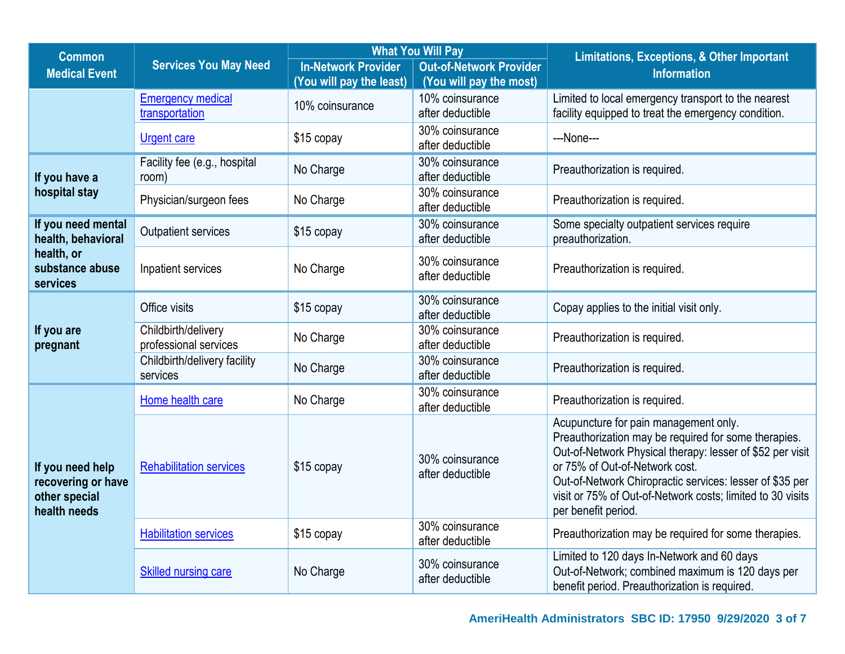| <b>Common</b>                                                           | <b>Services You May Need</b>                 | <b>What You Will Pay</b>   |                                     | <b>Limitations, Exceptions, &amp; Other Important</b>                                                                                                                                                                                                                                                                                         |  |  |
|-------------------------------------------------------------------------|----------------------------------------------|----------------------------|-------------------------------------|-----------------------------------------------------------------------------------------------------------------------------------------------------------------------------------------------------------------------------------------------------------------------------------------------------------------------------------------------|--|--|
| <b>Medical Event</b>                                                    |                                              | <b>In-Network Provider</b> | <b>Out-of-Network Provider</b>      | <b>Information</b>                                                                                                                                                                                                                                                                                                                            |  |  |
|                                                                         |                                              | (You will pay the least)   | (You will pay the most)             |                                                                                                                                                                                                                                                                                                                                               |  |  |
|                                                                         | <b>Emergency medical</b><br>transportation   | 10% coinsurance            | 10% coinsurance<br>after deductible | Limited to local emergency transport to the nearest<br>facility equipped to treat the emergency condition.                                                                                                                                                                                                                                    |  |  |
|                                                                         | <b>Urgent care</b>                           | \$15 copay                 | 30% coinsurance<br>after deductible | ---None---                                                                                                                                                                                                                                                                                                                                    |  |  |
| If you have a                                                           | Facility fee (e.g., hospital<br>room)        | No Charge                  | 30% coinsurance<br>after deductible | Preauthorization is required.                                                                                                                                                                                                                                                                                                                 |  |  |
| hospital stay                                                           | Physician/surgeon fees                       | No Charge                  | 30% coinsurance<br>after deductible | Preauthorization is required.                                                                                                                                                                                                                                                                                                                 |  |  |
| If you need mental<br>health, behavioral                                | <b>Outpatient services</b>                   | \$15 copay                 | 30% coinsurance<br>after deductible | Some specialty outpatient services require<br>preauthorization.                                                                                                                                                                                                                                                                               |  |  |
| health, or<br>substance abuse<br>services                               | Inpatient services                           | No Charge                  | 30% coinsurance<br>after deductible | Preauthorization is required.                                                                                                                                                                                                                                                                                                                 |  |  |
|                                                                         | Office visits                                | \$15 copay                 | 30% coinsurance<br>after deductible | Copay applies to the initial visit only.                                                                                                                                                                                                                                                                                                      |  |  |
| If you are<br>pregnant                                                  | Childbirth/delivery<br>professional services | No Charge                  | 30% coinsurance<br>after deductible | Preauthorization is required.                                                                                                                                                                                                                                                                                                                 |  |  |
|                                                                         | Childbirth/delivery facility<br>services     | No Charge                  | 30% coinsurance<br>after deductible | Preauthorization is required.                                                                                                                                                                                                                                                                                                                 |  |  |
|                                                                         | Home health care                             | No Charge                  | 30% coinsurance<br>after deductible | Preauthorization is required.                                                                                                                                                                                                                                                                                                                 |  |  |
| If you need help<br>recovering or have<br>other special<br>health needs | <b>Rehabilitation services</b>               | \$15 copay                 | 30% coinsurance<br>after deductible | Acupuncture for pain management only.<br>Preauthorization may be required for some therapies.<br>Out-of-Network Physical therapy: lesser of \$52 per visit<br>or 75% of Out-of-Network cost.<br>Out-of-Network Chiropractic services: lesser of \$35 per<br>visit or 75% of Out-of-Network costs; limited to 30 visits<br>per benefit period. |  |  |
|                                                                         | <b>Habilitation services</b>                 | \$15 copay                 | 30% coinsurance<br>after deductible | Preauthorization may be required for some therapies.                                                                                                                                                                                                                                                                                          |  |  |
|                                                                         | <b>Skilled nursing care</b>                  | No Charge                  | 30% coinsurance<br>after deductible | Limited to 120 days In-Network and 60 days<br>Out-of-Network; combined maximum is 120 days per<br>benefit period. Preauthorization is required.                                                                                                                                                                                               |  |  |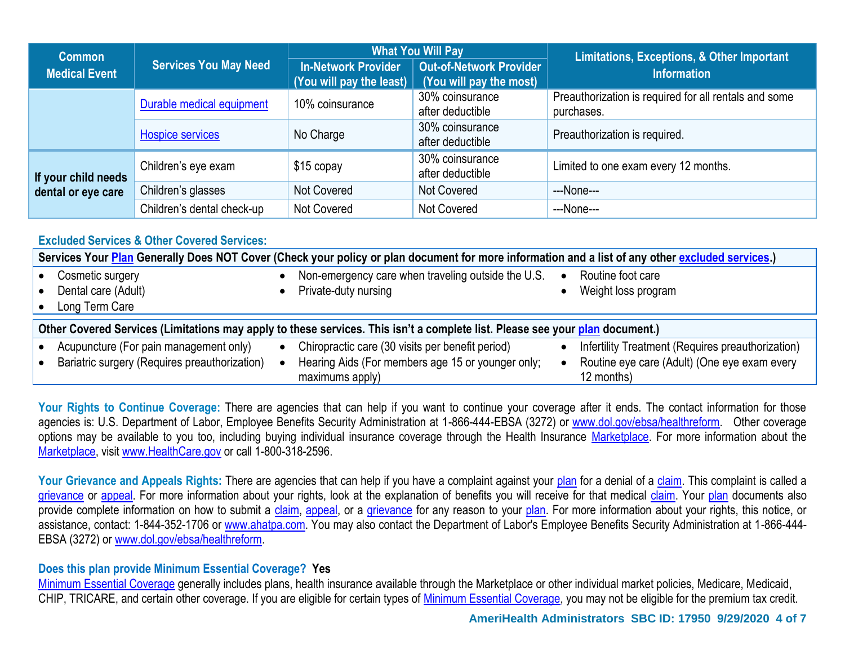| <b>Common</b>        | <b>Services You May Need</b> | <b>What You Will Pay</b>                               |                                                           | <b>Limitations, Exceptions, &amp; Other Important</b>               |  |
|----------------------|------------------------------|--------------------------------------------------------|-----------------------------------------------------------|---------------------------------------------------------------------|--|
| <b>Medical Event</b> |                              | <b>In-Network Provider</b><br>(You will pay the least) | <b>Out-of-Network Provider</b><br>(You will pay the most) | <b>Information</b>                                                  |  |
|                      | Durable medical equipment    | 10% coinsurance                                        | 30% coinsurance<br>after deductible                       | Preauthorization is required for all rentals and some<br>purchases. |  |
|                      | <b>Hospice services</b>      | No Charge                                              | 30% coinsurance<br>after deductible                       | Preauthorization is required.                                       |  |
| If your child needs  | Children's eye exam          | $$15$ copay                                            | 30% coinsurance<br>after deductible                       | Limited to one exam every 12 months.                                |  |
| dental or eye care   | Children's glasses           | <b>Not Covered</b>                                     | Not Covered                                               | ---None---                                                          |  |
|                      | Children's dental check-up   | <b>Not Covered</b>                                     | Not Covered                                               | ---None---                                                          |  |

## **Excluded Services & Other Covered Services:**

|                                                                                                                              | Services Your Plan Generally Does NOT Cover (Check your policy or plan document for more information and a list of any other excluded services.) |  |                                                                            |           |                                                            |  |  |  |
|------------------------------------------------------------------------------------------------------------------------------|--------------------------------------------------------------------------------------------------------------------------------------------------|--|----------------------------------------------------------------------------|-----------|------------------------------------------------------------|--|--|--|
|                                                                                                                              | Cosmetic surgery<br>Dental care (Adult)                                                                                                          |  | Non-emergency care when traveling outside the U.S.<br>Private-duty nursing | $\bullet$ | Routine foot care<br>Weight loss program                   |  |  |  |
|                                                                                                                              | Long Term Care                                                                                                                                   |  |                                                                            |           |                                                            |  |  |  |
| Other Covered Services (Limitations may apply to these services. This isn't a complete list. Please see your plan document.) |                                                                                                                                                  |  |                                                                            |           |                                                            |  |  |  |
|                                                                                                                              | Acupuncture (For pain management only)                                                                                                           |  | Chiropractic care (30 visits per benefit period)                           |           | Infertility Treatment (Requires preauthorization)          |  |  |  |
|                                                                                                                              | Bariatric surgery (Requires preauthorization)                                                                                                    |  | Hearing Aids (For members age 15 or younger only;<br>maximums apply)       |           | Routine eye care (Adult) (One eye exam every<br>12 months) |  |  |  |

Your Rights to Continue Coverage: There are agencies that can help if you want to continue your coverage after it ends. The contact information for those agencies is: U.S. Department of Labor, Employee Benefits Security Administration at 1-866-444-EBSA (3272) or www.dol.gov/ebsa/healthreform. Other coverage options may be available to you too, including buying individual insurance coverage through the Health Insurance Marketplace. For more information about the Marketplace, visit www.HealthCare.gov or call 1-800-318-2596.

Your Grievance and Appeals Rights: There are agencies that can help if you have a complaint against your plan for a denial of a claim. This complaint is called a grievance or appeal. For more information about your rights, look at the explanation of benefits you will receive for that medical claim. Your plan documents also provide complete information on how to submit a claim, appeal, or a grievance for any reason to your plan. For more information about your rights, this notice, or assistance, contact: 1-844-352-1706 or www.ahatpa.com. You may also contact the Department of Labor's Employee Benefits Security Administration at 1-866-444- EBSA (3272) or www.dol.gov/ebsa/healthreform.

# **Does this plan provide Minimum Essential Coverage? Yes**

Minimum Essential Coverage generally includes plans, health insurance available through the Marketplace or other individual market policies, Medicare, Medicaid, CHIP, TRICARE, and certain other coverage. If you are eligible for certain types of Minimum Essential Coverage, you may not be eligible for the premium tax credit.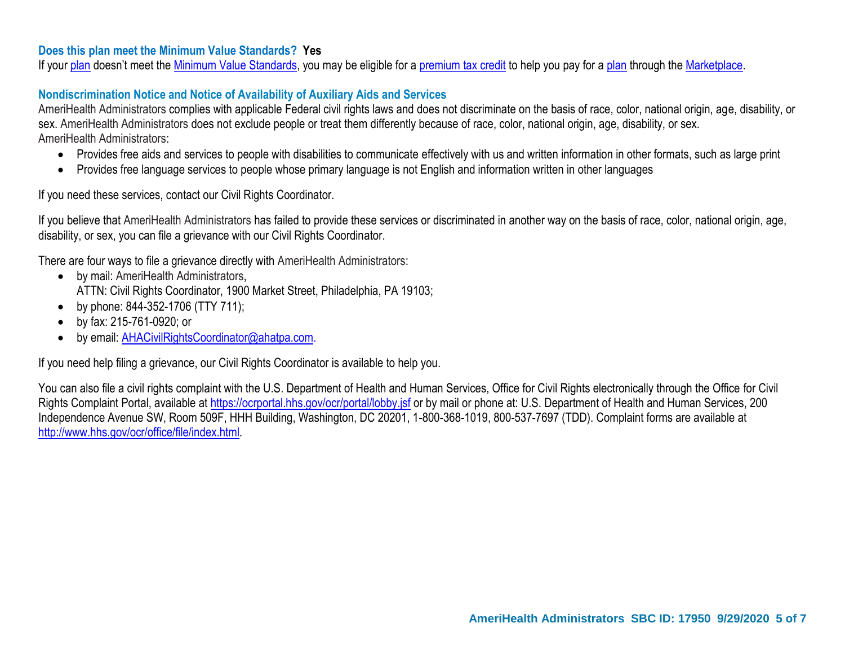## **Does this plan meet the Minimum Value Standards? Yes**

If your plan doesn't meet the Minimum Value Standards, you may be eligible for a premium tax credit to help you pay for a plan through the Marketplace.

## **Nondiscrimination Notice and Notice of Availability of Auxiliary Aids and Services**

AmeriHealth Administrators complies with applicable Federal civil rights laws and does not discriminate on the basis of race, color, national origin, age, disability, or sex. AmeriHealth Administrators does not exclude people or treat them differently because of race, color, national origin, age, disability, or sex. AmeriHealth Administrators:

- Provides free aids and services to people with disabilities to communicate effectively with us and written information in other formats, such as large print
- Provides free language services to people whose primary language is not English and information written in other languages

If you need these services, contact our Civil Rights Coordinator.

If you believe that AmeriHealth Administrators has failed to provide these services or discriminated in another way on the basis of race, color, national origin, age, disability, or sex, you can file a grievance with our Civil Rights Coordinator.

There are four ways to file a grievance directly with AmeriHealth Administrators:

- by mail: AmeriHealth Administrators, ATTN: Civil Rights Coordinator, 1900 Market Street, Philadelphia, PA 19103;
- by phone: 844-352-1706 (TTY 711);
- by fax: 215-761-0920; or
- by email: AHACivilRightsCoordinator@ahatpa.com.

If you need help filing a grievance, our Civil Rights Coordinator is available to help you.

You can also file a civil rights complaint with the U.S. Department of Health and Human Services, Office for Civil Rights electronically through the Office for Civil Rights Complaint Portal, available at https://ocrportal.hhs.gov/ocr/portal/lobby.jsf or by mail or phone at: U.S. Department of Health and Human Services, 200 Independence Avenue SW, Room 509F, HHH Building, Washington, DC 20201, 1-800-368-1019, 800-537-7697 (TDD). Complaint forms are available at http://www.hhs.gov/ocr/office/file/index.html*.*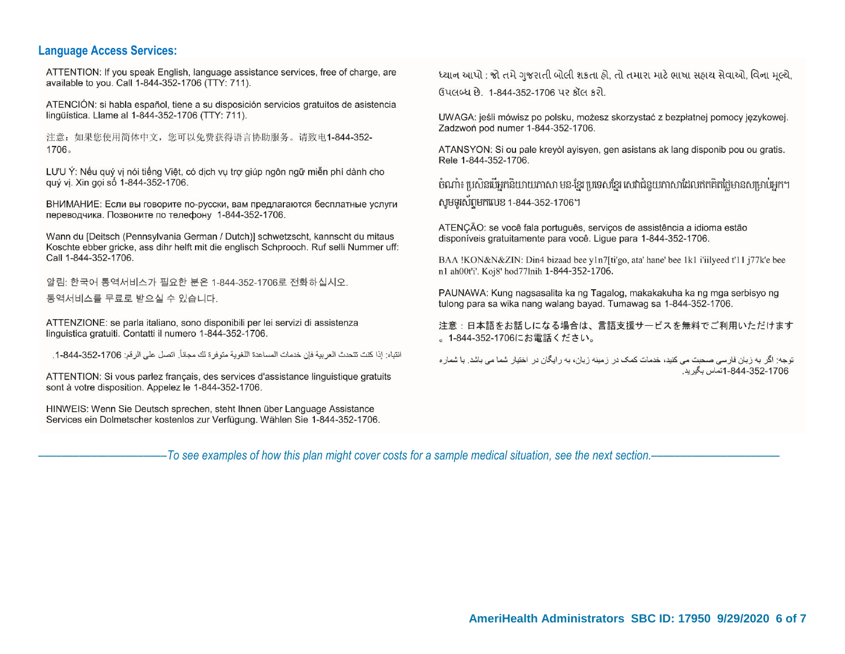#### **Language Access Services:**

ATTENTION: If you speak English, language assistance services, free of charge, are available to you. Call 1-844-352-1706 (TTY: 711).

ATENCIÓN: si habla español, tiene a su disposición servicios gratuitos de asistencia lingüística. Llame al 1-844-352-1706 (TTY: 711).

注意: 如果您使用简体中文, 您可以免费获得语言协助服务。请致电1-844-352-1706.

LƯU Ý: Nếu quý vị nói tiếng Việt, có dịch vụ trợ giúp ngôn ngữ miễn phí dành cho auý vi. Xin goi số 1-844-352-1706.

ВНИМАНИЕ: Если вы говорите по-русски, вам предлагаются бесплатные услуги переводчика. Позвоните по телефону 1-844-352-1706.

Wann du [Deitsch (Pennsylvania German / Dutch)] schwetzscht, kannscht du mitaus Koschte ebber gricke, ass dihr helft mit die englisch Schprooch. Ruf selli Nummer uff: Call 1-844-352-1706.

알림: 한국어 통역서비스가 필요한 분은 1-844-352-1706로 전화하십시오. 통역서비스를 무료로 받으실 수 있습니다.

ATTENZIONE: se parla italiano, sono disponibili per lei servizi di assistenza linguistica gratuiti. Contatti il numero 1-844-352-1706.

انتباه: إذا كنت تتحدث العربية فإن خدمات المساعدة اللغوية متوفر ة لك مجاناً. اتصل على الرقم: 1706-352-844-1.

ATTENTION: Si vous parlez français, des services d'assistance linguistique gratuits sont à votre disposition. Appelez le 1-844-352-1706.

HINWEIS: Wenn Sie Deutsch sprechen, steht Ihnen über Language Assistance Services ein Dolmetscher kostenlos zur Verfügung. Wählen Sie 1-844-352-1706. ધ્યાન આપો : જો તમે ગુજરાતી બોલી શકતા હો. તો તમારા માટે ભાષા સહાય સેવાઓ. વિના મલ્યે. ઉપલબ્ધ છે. 1-844-352-1706 પર કૉલ કરો.

UWAGA: jeśli mówisz po polsku, możesz skorzystać z bezpłatnej pomocy jezykowej. Zadzwoń pod numer 1-844-352-1706.

ATANSYON: Si ou pale kreyòl ayisyen, gen asistans ak lang disponib pou ou gratis. Rele 1-844-352-1706.

បំណាំ៖ ប្រសិនបើអកនិយាយភាសា មន-ខែរ ប្រទេសខែរ សេវាជំនួយភាសាដែលឥតគិតថៃមានសម្រាប់អក។ សមទូរស័ព្ទមកលេខ 1-844-352-1706។

ATENÇÃO: se você fala português, serviços de assistência a idioma estão disponíveis gratuitamente para você. Lique para 1-844-352-1706.

BAA !KON&N&ZIN: Din4 bizaad bee y1n7[ti'go, ata' hane' bee 1k1 i'iilyeed t'11 j77k'e bee n1 ah00t'i'. Koi8' hod77lnih 1-844-352-1706.

PAUNAWA: Kung nagsasalita ka ng Tagalog, makakakuha ka ng mga serbisyo ng tulong para sa wika nang walang bayad. Tumawag sa 1-844-352-1706.

注意:日本語をお話しになる場合は、言語支援サービスを無料でご利用いただけます 。1-844-352-1706にお電話ください。

توجه: اگر به زبان فار سی صحبت می کنید، خدمات کمک در ز مینه زبان، به ر ایگان در اختیار شما می باشد ٍ با شمار ه 1706-844-352-1708-1تماس بگير بد.

––––––––––––––––––––––*To see examples of how this plan might cover costs for a sample medical situation, see the next section.–––––––––––*–––––––––––